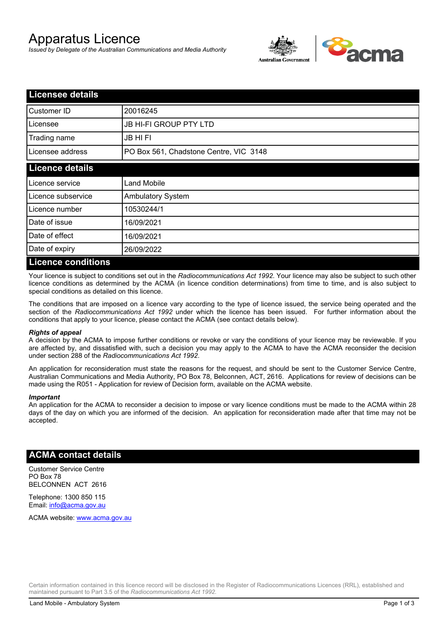# Apparatus Licence

*Issued by Delegate of the Australian Communications and Media Authority*



| <b>Licensee details</b>   |                                        |
|---------------------------|----------------------------------------|
| Customer ID               | 20016245                               |
| Licensee                  | <b>JB HI-FI GROUP PTY LTD</b>          |
| Trading name              | <b>JB HIFI</b>                         |
| Licensee address          | PO Box 561, Chadstone Centre, VIC 3148 |
| <b>Licence details</b>    |                                        |
| Licence service           | <b>Land Mobile</b>                     |
| Licence subservice        | Ambulatory System                      |
| Licence number            | 10530244/1                             |
| Date of issue             | 16/09/2021                             |
| Date of effect            | 16/09/2021                             |
| Date of expiry            | 26/09/2022                             |
| <b>Licence conditions</b> |                                        |

Your licence is subject to conditions set out in the *Radiocommunications Act 1992*. Your licence may also be subject to such other licence conditions as determined by the ACMA (in licence condition determinations) from time to time, and is also subject to special conditions as detailed on this licence.

The conditions that are imposed on a licence vary according to the type of licence issued, the service being operated and the section of the *Radiocommunications Act 1992* under which the licence has been issued. For further information about the conditions that apply to your licence, please contact the ACMA (see contact details below).

#### *Rights of appeal*

A decision by the ACMA to impose further conditions or revoke or vary the conditions of your licence may be reviewable. If you are affected by, and dissatisfied with, such a decision you may apply to the ACMA to have the ACMA reconsider the decision under section 288 of the *Radiocommunications Act 1992*.

An application for reconsideration must state the reasons for the request, and should be sent to the Customer Service Centre, Australian Communications and Media Authority, PO Box 78, Belconnen, ACT, 2616. Applications for review of decisions can be made using the R051 - Application for review of Decision form, available on the ACMA website.

#### *Important*

An application for the ACMA to reconsider a decision to impose or vary licence conditions must be made to the ACMA within 28 days of the day on which you are informed of the decision. An application for reconsideration made after that time may not be accepted.

### **ACMA contact details**

Customer Service Centre PO Box 78 BELCONNEN ACT 2616

Telephone: 1300 850 115 Email: info@acma.gov.au

ACMA website: www.acma.gov.au

Certain information contained in this licence record will be disclosed in the Register of Radiocommunications Licences (RRL), established and maintained pursuant to Part 3.5 of the *Radiocommunications Act 1992.*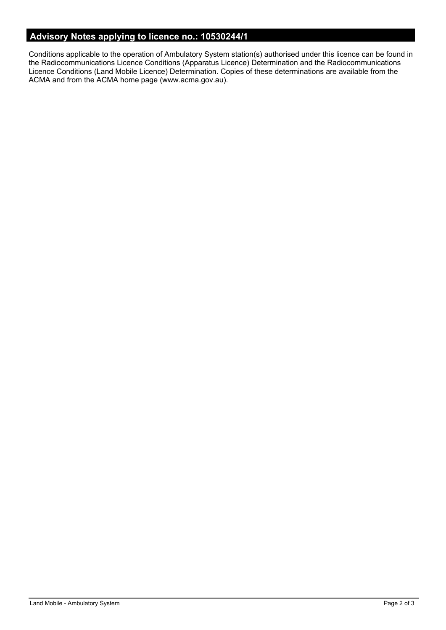## **Advisory Notes applying to licence no.: 10530244/1**

Conditions applicable to the operation of Ambulatory System station(s) authorised under this licence can be found in the Radiocommunications Licence Conditions (Apparatus Licence) Determination and the Radiocommunications Licence Conditions (Land Mobile Licence) Determination. Copies of these determinations are available from the ACMA and from the ACMA home page (www.acma.gov.au).